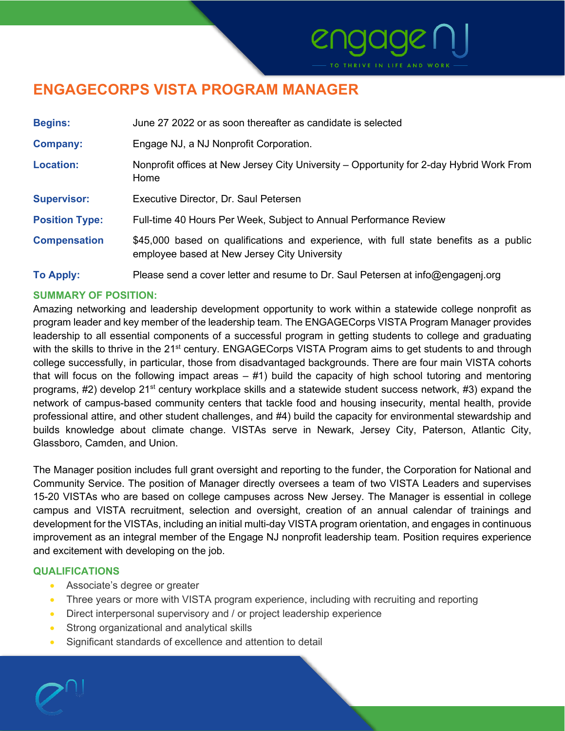# **ENGAGECORPS VISTA PROGRAM MANAGER**

| <b>Begins:</b>        | June 27 2022 or as soon thereafter as candidate is selected                                                                           |
|-----------------------|---------------------------------------------------------------------------------------------------------------------------------------|
| <b>Company:</b>       | Engage NJ, a NJ Nonprofit Corporation.                                                                                                |
| <b>Location:</b>      | Nonprofit offices at New Jersey City University – Opportunity for 2-day Hybrid Work From<br>Home                                      |
| <b>Supervisor:</b>    | Executive Director, Dr. Saul Petersen                                                                                                 |
| <b>Position Type:</b> | Full-time 40 Hours Per Week, Subject to Annual Performance Review                                                                     |
| <b>Compensation</b>   | \$45,000 based on qualifications and experience, with full state benefits as a public<br>employee based at New Jersey City University |
| <b>To Apply:</b>      | Please send a cover letter and resume to Dr. Saul Petersen at info@engagenj.org                                                       |

# **SUMMARY OF POSITION:**

Amazing networking and leadership development opportunity to work within a statewide college nonprofit as program leader and key member of the leadership team. The ENGAGECorps VISTA Program Manager provides leadership to all essential components of a successful program in getting students to college and graduating with the skills to thrive in the 21<sup>st</sup> century. ENGAGECorps VISTA Program aims to get students to and through college successfully, in particular, those from disadvantaged backgrounds. There are four main VISTA cohorts that will focus on the following impact areas  $-$  #1) build the capacity of high school tutoring and mentoring programs, #2) develop 21<sup>st</sup> century workplace skills and a statewide student success network, #3) expand the network of campus-based community centers that tackle food and housing insecurity, mental health, provide professional attire, and other student challenges, and #4) build the capacity for environmental stewardship and builds knowledge about climate change. VISTAs serve in Newark, Jersey City, Paterson, Atlantic City, Glassboro, Camden, and Union.

The Manager position includes full grant oversight and reporting to the funder, the Corporation for National and Community Service. The position of Manager directly oversees a team of two VISTA Leaders and supervises 15-20 VISTAs who are based on college campuses across New Jersey. The Manager is essential in college campus and VISTA recruitment, selection and oversight, creation of an annual calendar of trainings and development for the VISTAs, including an initial multi-day VISTA program orientation, and engages in continuous improvement as an integral member of the Engage NJ nonprofit leadership team. Position requires experience and excitement with developing on the job.

# **QUALIFICATIONS**

- Associate's degree or greater
- Three years or more with VISTA program experience, including with recruiting and reporting
- Direct interpersonal supervisory and / or project leadership experience
- Strong organizational and analytical skills
- Significant standards of excellence and attention to detail

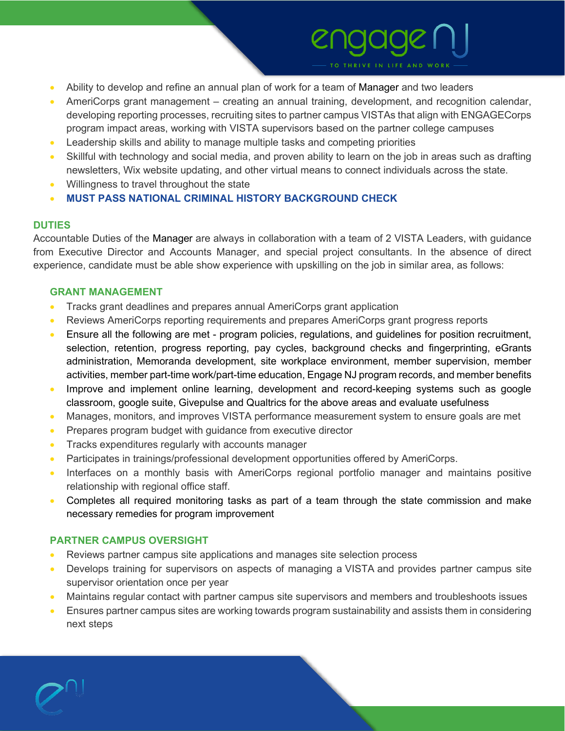- Ability to develop and refine an annual plan of work for a team of Manager and two leaders
- AmeriCorps grant management creating an annual training, development, and recognition calendar, developing reporting processes, recruiting sites to partner campus VISTAs that align with ENGAGECorps program impact areas, working with VISTA supervisors based on the partner college campuses
- Leadership skills and ability to manage multiple tasks and competing priorities
- Skillful with technology and social media, and proven ability to learn on the job in areas such as drafting newsletters, Wix website updating, and other virtual means to connect individuals across the state.
- Willingness to travel throughout the state
- **MUST PASS NATIONAL CRIMINAL HISTORY BACKGROUND CHECK**

# **DUTIES**

Accountable Duties of the Manager are always in collaboration with a team of 2 VISTA Leaders, with guidance from Executive Director and Accounts Manager, and special project consultants. In the absence of direct experience, candidate must be able show experience with upskilling on the job in similar area, as follows:

# **GRANT MANAGEMENT**

- Tracks grant deadlines and prepares annual AmeriCorps grant application
- Reviews AmeriCorps reporting requirements and prepares AmeriCorps grant progress reports
- Ensure all the following are met program policies, regulations, and guidelines for position recruitment, selection, retention, progress reporting, pay cycles, background checks and fingerprinting, eGrants administration, Memoranda development, site workplace environment, member supervision, member activities, member part-time work/part-time education, Engage NJ program records, and member benefits
- Improve and implement online learning, development and record-keeping systems such as google classroom, google suite, Givepulse and Qualtrics for the above areas and evaluate usefulness
- Manages, monitors, and improves VISTA performance measurement system to ensure goals are met
- Prepares program budget with guidance from executive director
- Tracks expenditures regularly with accounts manager
- Participates in trainings/professional development opportunities offered by AmeriCorps.
- Interfaces on a monthly basis with AmeriCorps regional portfolio manager and maintains positive relationship with regional office staff.
- Completes all required monitoring tasks as part of a team through the state commission and make necessary remedies for program improvement

# **PARTNER CAMPUS OVERSIGHT**

- Reviews partner campus site applications and manages site selection process
- Develops training for supervisors on aspects of managing a VISTA and provides partner campus site supervisor orientation once per year
- Maintains regular contact with partner campus site supervisors and members and troubleshoots issues
- Ensures partner campus sites are working towards program sustainability and assists them in considering next steps

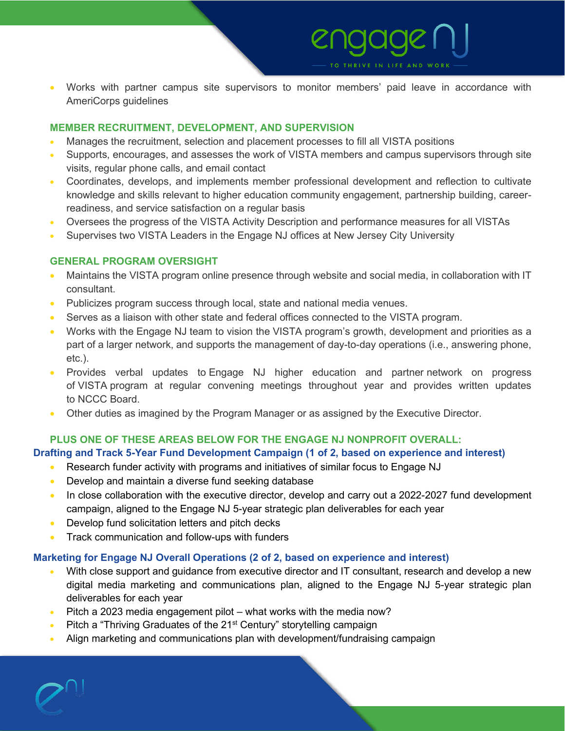# • Works with partner campus site supervisors to monitor members' paid leave in accordance with AmeriCorps guidelines

# **MEMBER RECRUITMENT, DEVELOPMENT, AND SUPERVISION**

- Manages the recruitment, selection and placement processes to fill all VISTA positions
- Supports, encourages, and assesses the work of VISTA members and campus supervisors through site visits, regular phone calls, and email contact
- Coordinates, develops, and implements member professional development and reflection to cultivate knowledge and skills relevant to higher education community engagement, partnership building, careerreadiness, and service satisfaction on a regular basis
- Oversees the progress of the VISTA Activity Description and performance measures for all VISTAs
- Supervises two VISTA Leaders in the Engage NJ offices at New Jersey City University

### **GENERAL PROGRAM OVERSIGHT**

- Maintains the VISTA program online presence through website and social media, in collaboration with IT consultant.
- Publicizes program success through local, state and national media venues.
- Serves as a liaison with other state and federal offices connected to the VISTA program.
- Works with the Engage NJ team to vision the VISTA program's growth, development and priorities as a part of a larger network, and supports the management of day-to-day operations (i.e., answering phone, etc.).
- Provides verbal updates to Engage NJ higher education and partner network on progress of VISTA program at regular convening meetings throughout year and provides written updates to NCCC Board.
- Other duties as imagined by the Program Manager or as assigned by the Executive Director.

### **PLUS ONE OF THESE AREAS BELOW FOR THE ENGAGE NJ NONPROFIT OVERALL:**

### **Drafting and Track 5-Year Fund Development Campaign (1 of 2, based on experience and interest)**

- Research funder activity with programs and initiatives of similar focus to Engage NJ
- Develop and maintain a diverse fund seeking database
- In close collaboration with the executive director, develop and carry out a 2022-2027 fund development campaign, aligned to the Engage NJ 5-year strategic plan deliverables for each year
- Develop fund solicitation letters and pitch decks
- Track communication and follow-ups with funders

### **Marketing for Engage NJ Overall Operations (2 of 2, based on experience and interest)**

- With close support and guidance from executive director and IT consultant, research and develop a new digital media marketing and communications plan, aligned to the Engage NJ 5-year strategic plan deliverables for each year
- Pitch a 2023 media engagement pilot what works with the media now?
- Pitch a "Thriving Graduates of the 21<sup>st</sup> Century" storytelling campaign
- Align marketing and communications plan with development/fundraising campaign